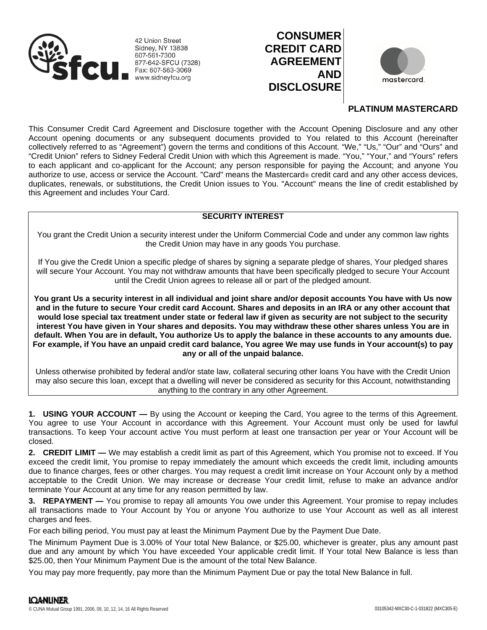

42 Union Street **Sidney, NY 13838** 607-561-7300 877-642-SFCU (7328) Fax: 607-563-3069 www.sidneyfcu.org





# **PLATINUM MASTERCARD**

This Consumer Credit Card Agreement and Disclosure together with the Account Opening Disclosure and any other Account opening documents or any subsequent documents provided to You related to this Account (hereinafter collectively referred to as "Agreement") govern the terms and conditions of this Account. "We," "Us," "Our" and "Ours" and "Credit Union" refers to Sidney Federal Credit Union with which this Agreement is made. "You," "Your," and "Yours" refers to each applicant and co-applicant for the Account; any person responsible for paying the Account; and anyone You authorize to use, access or service the Account. "Card" means the Mastercard® credit card and any other access devices, duplicates, renewals, or substitutions, the Credit Union issues to You. "Account" means the line of credit established by this Agreement and includes Your Card.

# **SECURITY INTEREST**

You grant the Credit Union a security interest under the Uniform Commercial Code and under any common law rights the Credit Union may have in any goods You purchase.

If You give the Credit Union a specific pledge of shares by signing a separate pledge of shares, Your pledged shares will secure Your Account. You may not withdraw amounts that have been specifically pledged to secure Your Account until the Credit Union agrees to release all or part of the pledged amount.

**You grant Us a security interest in all individual and joint share and/or deposit accounts You have with Us now and in the future to secure Your credit card Account. Shares and deposits in an IRA or any other account that would lose special tax treatment under state or federal law if given as security are not subject to the security interest You have given in Your shares and deposits. You may withdraw these other shares unless You are in default. When You are in default, You authorize Us to apply the balance in these accounts to any amounts due. For example, if You have an unpaid credit card balance, You agree We may use funds in Your account(s) to pay any or all of the unpaid balance.**

Unless otherwise prohibited by federal and/or state law, collateral securing other loans You have with the Credit Union may also secure this loan, except that a dwelling will never be considered as security for this Account, notwithstanding anything to the contrary in any other Agreement.

**1. USING YOUR ACCOUNT —** By using the Account or keeping the Card, You agree to the terms of this Agreement. You agree to use Your Account in accordance with this Agreement. Your Account must only be used for lawful transactions. To keep Your account active You must perform at least one transaction per year or Your Account will be closed.

**2. CREDIT LIMIT —** We may establish a credit limit as part of this Agreement, which You promise not to exceed. If You exceed the credit limit, You promise to repay immediately the amount which exceeds the credit limit, including amounts due to finance charges, fees or other charges. You may request a credit limit increase on Your Account only by a method acceptable to the Credit Union. We may increase or decrease Your credit limit, refuse to make an advance and/or terminate Your Account at any time for any reason permitted by law.

**3. REPAYMENT —** You promise to repay all amounts You owe under this Agreement. Your promise to repay includes all transactions made to Your Account by You or anyone You authorize to use Your Account as well as all interest charges and fees.

For each billing period, You must pay at least the Minimum Payment Due by the Payment Due Date.

The Minimum Payment Due is 3.00% of Your total New Balance, or \$25.00, whichever is greater, plus any amount past due and any amount by which You have exceeded Your applicable credit limit. If Your total New Balance is less than \$25.00, then Your Minimum Payment Due is the amount of the total New Balance.

You may pay more frequently, pay more than the Minimum Payment Due or pay the total New Balance in full.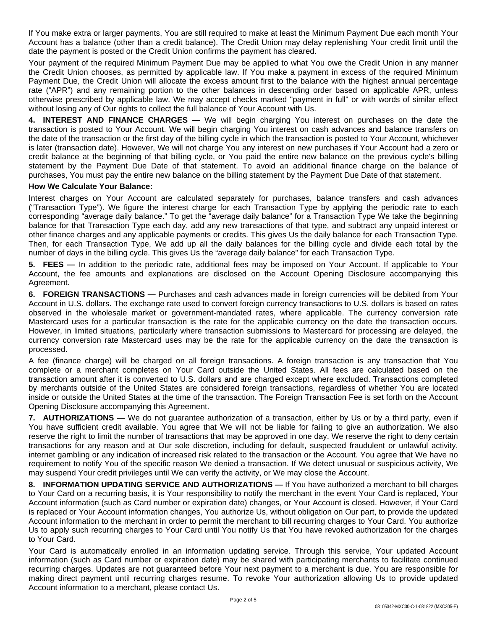If You make extra or larger payments, You are still required to make at least the Minimum Payment Due each month Your Account has a balance (other than a credit balance). The Credit Union may delay replenishing Your credit limit until the date the payment is posted or the Credit Union confirms the payment has cleared.

Your payment of the required Minimum Payment Due may be applied to what You owe the Credit Union in any manner the Credit Union chooses, as permitted by applicable law. If You make a payment in excess of the required Minimum Payment Due, the Credit Union will allocate the excess amount first to the balance with the highest annual percentage rate ("APR") and any remaining portion to the other balances in descending order based on applicable APR, unless otherwise prescribed by applicable law. We may accept checks marked "payment in full" or with words of similar effect without losing any of Our rights to collect the full balance of Your Account with Us.

**4. INTEREST AND FINANCE CHARGES —** We will begin charging You interest on purchases on the date the transaction is posted to Your Account. We will begin charging You interest on cash advances and balance transfers on the date of the transaction or the first day of the billing cycle in which the transaction is posted to Your Account, whichever is later (transaction date). However, We will not charge You any interest on new purchases if Your Account had a zero or credit balance at the beginning of that billing cycle, or You paid the entire new balance on the previous cycle's billing statement by the Payment Due Date of that statement. To avoid an additional finance charge on the balance of purchases, You must pay the entire new balance on the billing statement by the Payment Due Date of that statement.

# **How We Calculate Your Balance:**

Interest charges on Your Account are calculated separately for purchases, balance transfers and cash advances ("Transaction Type"). We figure the interest charge for each Transaction Type by applying the periodic rate to each corresponding "average daily balance." To get the "average daily balance" for a Transaction Type We take the beginning balance for that Transaction Type each day, add any new transactions of that type, and subtract any unpaid interest or other finance charges and any applicable payments or credits. This gives Us the daily balance for each Transaction Type. Then, for each Transaction Type, We add up all the daily balances for the billing cycle and divide each total by the number of days in the billing cycle. This gives Us the "average daily balance" for each Transaction Type.

**5. FEES —** In addition to the periodic rate, additional fees may be imposed on Your Account. If applicable to Your Account, the fee amounts and explanations are disclosed on the Account Opening Disclosure accompanying this Agreement.

**6. FOREIGN TRANSACTIONS —** Purchases and cash advances made in foreign currencies will be debited from Your Account in U.S. dollars. The exchange rate used to convert foreign currency transactions to U.S. dollars is based on rates observed in the wholesale market or government-mandated rates, where applicable. The currency conversion rate Mastercard uses for a particular transaction is the rate for the applicable currency on the date the transaction occurs. However, in limited situations, particularly where transaction submissions to Mastercard for processing are delayed, the currency conversion rate Mastercard uses may be the rate for the applicable currency on the date the transaction is processed.

A fee (finance charge) will be charged on all foreign transactions. A foreign transaction is any transaction that You complete or a merchant completes on Your Card outside the United States. All fees are calculated based on the transaction amount after it is converted to U.S. dollars and are charged except where excluded. Transactions completed by merchants outside of the United States are considered foreign transactions, regardless of whether You are located inside or outside the United States at the time of the transaction. The Foreign Transaction Fee is set forth on the Account Opening Disclosure accompanying this Agreement.

**7. AUTHORIZATIONS —** We do not guarantee authorization of a transaction, either by Us or by a third party, even if You have sufficient credit available. You agree that We will not be liable for failing to give an authorization. We also reserve the right to limit the number of transactions that may be approved in one day. We reserve the right to deny certain transactions for any reason and at Our sole discretion, including for default, suspected fraudulent or unlawful activity, internet gambling or any indication of increased risk related to the transaction or the Account. You agree that We have no requirement to notify You of the specific reason We denied a transaction. If We detect unusual or suspicious activity, We may suspend Your credit privileges until We can verify the activity, or We may close the Account.

**8. INFORMATION UPDATING SERVICE AND AUTHORIZATIONS —** If You have authorized a merchant to bill charges to Your Card on a recurring basis, it is Your responsibility to notify the merchant in the event Your Card is replaced, Your Account information (such as Card number or expiration date) changes, or Your Account is closed. However, if Your Card is replaced or Your Account information changes, You authorize Us, without obligation on Our part, to provide the updated Account information to the merchant in order to permit the merchant to bill recurring charges to Your Card. You authorize Us to apply such recurring charges to Your Card until You notify Us that You have revoked authorization for the charges to Your Card.

Your Card is automatically enrolled in an information updating service. Through this service, Your updated Account information (such as Card number or expiration date) may be shared with participating merchants to facilitate continued recurring charges. Updates are not guaranteed before Your next payment to a merchant is due. You are responsible for making direct payment until recurring charges resume. To revoke Your authorization allowing Us to provide updated Account information to a merchant, please contact Us.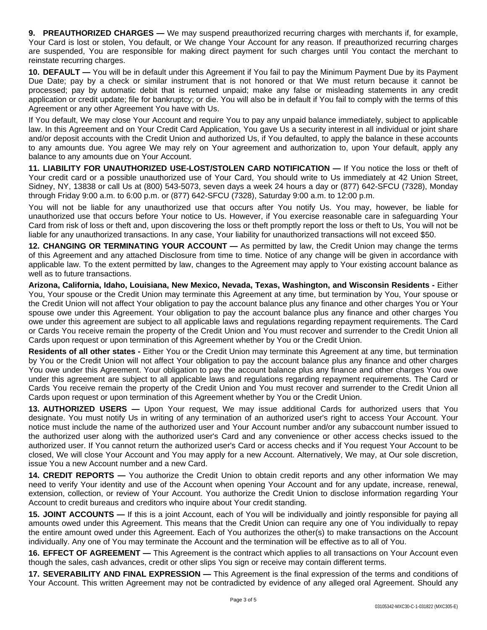**9. PREAUTHORIZED CHARGES —** We may suspend preauthorized recurring charges with merchants if, for example, Your Card is lost or stolen, You default, or We change Your Account for any reason. If preauthorized recurring charges are suspended, You are responsible for making direct payment for such charges until You contact the merchant to reinstate recurring charges.

**10. DEFAULT —** You will be in default under this Agreement if You fail to pay the Minimum Payment Due by its Payment Due Date; pay by a check or similar instrument that is not honored or that We must return because it cannot be processed; pay by automatic debit that is returned unpaid; make any false or misleading statements in any credit application or credit update; file for bankruptcy; or die. You will also be in default if You fail to comply with the terms of this Agreement or any other Agreement You have with Us.

If You default, We may close Your Account and require You to pay any unpaid balance immediately, subject to applicable law. In this Agreement and on Your Credit Card Application, You gave Us a security interest in all individual or joint share and/or deposit accounts with the Credit Union and authorized Us, if You defaulted, to apply the balance in these accounts to any amounts due. You agree We may rely on Your agreement and authorization to, upon Your default, apply any balance to any amounts due on Your Account.

**11. LIABILITY FOR UNAUTHORIZED USE-LOST/STOLEN CARD NOTIFICATION —** If You notice the loss or theft of Your credit card or a possible unauthorized use of Your Card, You should write to Us immediately at 42 Union Street, Sidney, NY, 13838 or call Us at (800) 543-5073, seven days a week 24 hours a day or (877) 642-SFCU (7328), Monday through Friday 9:00 a.m. to 6:00 p.m. or (877) 642-SFCU (7328), Saturday 9:00 a.m. to 12:00 p.m.

You will not be liable for any unauthorized use that occurs after You notify Us. You may, however, be liable for unauthorized use that occurs before Your notice to Us. However, if You exercise reasonable care in safeguarding Your Card from risk of loss or theft and, upon discovering the loss or theft promptly report the loss or theft to Us, You will not be liable for any unauthorized transactions. In any case, Your liability for unauthorized transactions will not exceed \$50.

**12. CHANGING OR TERMINATING YOUR ACCOUNT —** As permitted by law, the Credit Union may change the terms of this Agreement and any attached Disclosure from time to time. Notice of any change will be given in accordance with applicable law. To the extent permitted by law, changes to the Agreement may apply to Your existing account balance as well as to future transactions.

**Arizona, California, Idaho, Louisiana, New Mexico, Nevada, Texas, Washington, and Wisconsin Residents -** Either You, Your spouse or the Credit Union may terminate this Agreement at any time, but termination by You, Your spouse or the Credit Union will not affect Your obligation to pay the account balance plus any finance and other charges You or Your spouse owe under this Agreement. Your obligation to pay the account balance plus any finance and other charges You owe under this agreement are subject to all applicable laws and regulations regarding repayment requirements. The Card or Cards You receive remain the property of the Credit Union and You must recover and surrender to the Credit Union all Cards upon request or upon termination of this Agreement whether by You or the Credit Union.

**Residents of all other states -** Either You or the Credit Union may terminate this Agreement at any time, but termination by You or the Credit Union will not affect Your obligation to pay the account balance plus any finance and other charges You owe under this Agreement. Your obligation to pay the account balance plus any finance and other charges You owe under this agreement are subject to all applicable laws and regulations regarding repayment requirements. The Card or Cards You receive remain the property of the Credit Union and You must recover and surrender to the Credit Union all Cards upon request or upon termination of this Agreement whether by You or the Credit Union.

**13. AUTHORIZED USERS —** Upon Your request, We may issue additional Cards for authorized users that You designate. You must notify Us in writing of any termination of an authorized user's right to access Your Account. Your notice must include the name of the authorized user and Your Account number and/or any subaccount number issued to the authorized user along with the authorized user's Card and any convenience or other access checks issued to the authorized user. If You cannot return the authorized user's Card or access checks and if You request Your Account to be closed, We will close Your Account and You may apply for a new Account. Alternatively, We may, at Our sole discretion, issue You a new Account number and a new Card.

**14. CREDIT REPORTS —** You authorize the Credit Union to obtain credit reports and any other information We may need to verify Your identity and use of the Account when opening Your Account and for any update, increase, renewal, extension, collection, or review of Your Account. You authorize the Credit Union to disclose information regarding Your Account to credit bureaus and creditors who inquire about Your credit standing.

**15. JOINT ACCOUNTS —** If this is a joint Account, each of You will be individually and jointly responsible for paying all amounts owed under this Agreement. This means that the Credit Union can require any one of You individually to repay the entire amount owed under this Agreement. Each of You authorizes the other(s) to make transactions on the Account individually. Any one of You may terminate the Account and the termination will be effective as to all of You.

**16. EFFECT OF AGREEMENT —** This Agreement is the contract which applies to all transactions on Your Account even though the sales, cash advances, credit or other slips You sign or receive may contain different terms.

**17. SEVERABILITY AND FINAL EXPRESSION —** This Agreement is the final expression of the terms and conditions of Your Account. This written Agreement may not be contradicted by evidence of any alleged oral Agreement. Should any

Page 3 of 5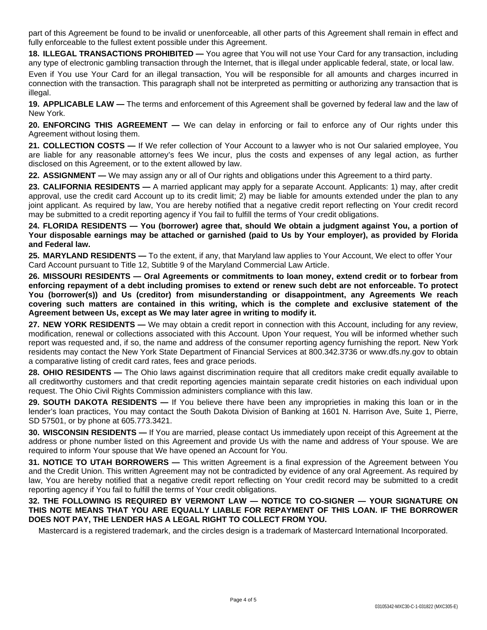part of this Agreement be found to be invalid or unenforceable, all other parts of this Agreement shall remain in effect and fully enforceable to the fullest extent possible under this Agreement.

**18. ILLEGAL TRANSACTIONS PROHIBITED —** You agree that You will not use Your Card for any transaction, including any type of electronic gambling transaction through the Internet, that is illegal under applicable federal, state, or local law.

Even if You use Your Card for an illegal transaction, You will be responsible for all amounts and charges incurred in connection with the transaction. This paragraph shall not be interpreted as permitting or authorizing any transaction that is illegal.

**19. APPLICABLE LAW —** The terms and enforcement of this Agreement shall be governed by federal law and the law of New York.

**20. ENFORCING THIS AGREEMENT —** We can delay in enforcing or fail to enforce any of Our rights under this Agreement without losing them.

**21. COLLECTION COSTS —** If We refer collection of Your Account to a lawyer who is not Our salaried employee, You are liable for any reasonable attorney's fees We incur, plus the costs and expenses of any legal action, as further disclosed on this Agreement, or to the extent allowed by law.

**22. ASSIGNMENT —** We may assign any or all of Our rights and obligations under this Agreement to a third party.

**23. CALIFORNIA RESIDENTS —** A married applicant may apply for a separate Account. Applicants: 1) may, after credit approval, use the credit card Account up to its credit limit; 2) may be liable for amounts extended under the plan to any joint applicant. As required by law, You are hereby notified that a negative credit report reflecting on Your credit record may be submitted to a credit reporting agency if You fail to fulfill the terms of Your credit obligations.

24. FLORIDA RESIDENTS - You (borrower) agree that, should We obtain a judgment against You, a portion of Your disposable earnings may be attached or garnished (paid to Us by Your employer), as provided by Florida **and Federal law.**

**25. MARYLAND RESIDENTS —** To the extent, if any, that Maryland law applies to Your Account, We elect to offer Your Card Account pursuant to Title 12, Subtitle 9 of the Maryland Commercial Law Article.

**26. MISSOURI RESIDENTS — Oral Agreements or commitments to loan money, extend credit or to forbear from** enforcing repayment of a debt including promises to extend or renew such debt are not enforceable. To protect **You (borrower(s)) and Us (creditor) from misunderstanding or disappointment, any Agreements We reach covering such matters are contained in this writing, which is the complete and exclusive statement of the Agreement between Us, except as We may later agree in writing to modify it.**

**27. NEW YORK RESIDENTS —** We may obtain a credit report in connection with this Account, including for any review, modification, renewal or collections associated with this Account. Upon Your request, You will be informed whether such report was requested and, if so, the name and address of the consumer reporting agency furnishing the report. New York residents may contact the New York State Department of Financial Services at 800.342.3736 or www.dfs.ny.gov to obtain a comparative listing of credit card rates, fees and grace periods.

**28. OHIO RESIDENTS** — The Ohio laws against discrimination require that all creditors make credit equally available to all creditworthy customers and that credit reporting agencies maintain separate credit histories on each individual upon request. The Ohio Civil Rights Commission administers compliance with this law.

**29. SOUTH DAKOTA RESIDENTS —** If You believe there have been any improprieties in making this loan or in the lender's loan practices, You may contact the South Dakota Division of Banking at 1601 N. Harrison Ave, Suite 1, Pierre, SD 57501, or by phone at 605.773.3421.

**30. WISCONSIN RESIDENTS —** If You are married, please contact Us immediately upon receipt of this Agreement at the address or phone number listed on this Agreement and provide Us with the name and address of Your spouse. We are required to inform Your spouse that We have opened an Account for You.

**31. NOTICE TO UTAH BORROWERS —** This written Agreement is a final expression of the Agreement between You and the Credit Union. This written Agreement may not be contradicted by evidence of any oral Agreement. As required by law, You are hereby notified that a negative credit report reflecting on Your credit record may be submitted to a credit reporting agency if You fail to fulfill the terms of Your credit obligations.

# **32. THE FOLLOWING IS REQUIRED BY VERMONT LAW — NOTICE TO CO-SIGNER — YOUR SIGNATURE ON THIS NOTE MEANS THAT YOU ARE EQUALLY LIABLE FOR REPAYMENT OF THIS LOAN. IF THE BORROWER DOES NOT PAY, THE LENDER HAS A LEGAL RIGHT TO COLLECT FROM YOU.**

Mastercard is a registered trademark, and the circles design is a trademark of Mastercard International Incorporated.